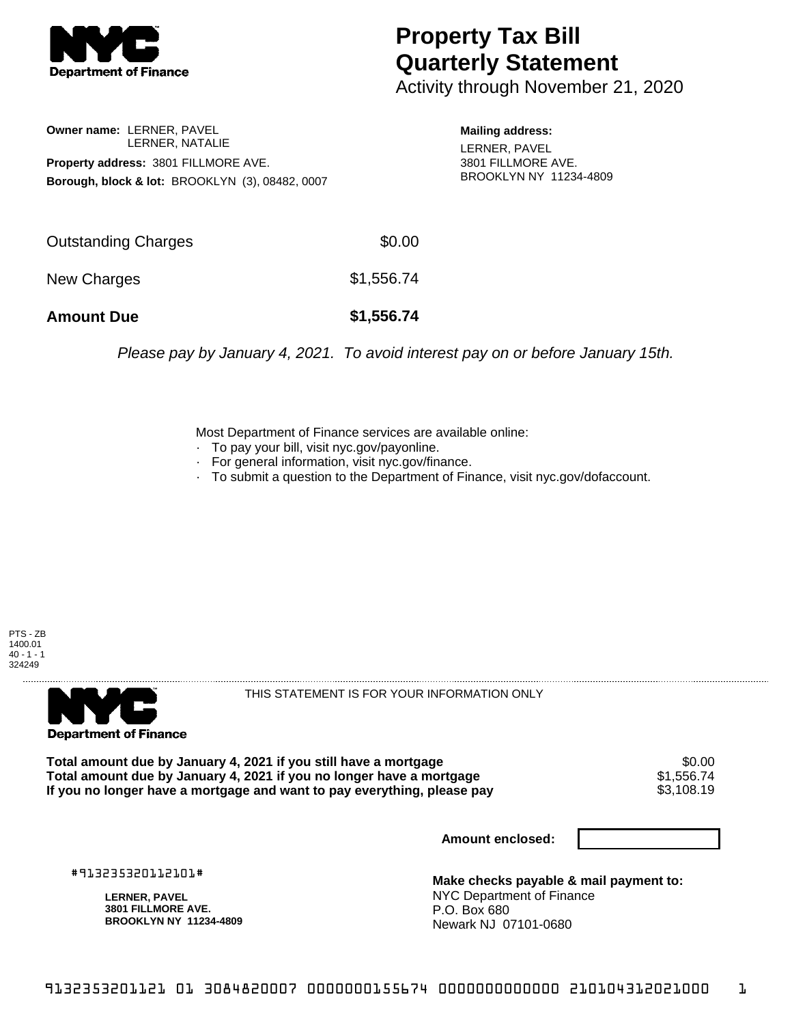

## **Property Tax Bill Quarterly Statement**

Activity through November 21, 2020

**Owner name:** LERNER, PAVEL LERNER, NATALIE **Property address:** 3801 FILLMORE AVE. **Borough, block & lot:** BROOKLYN (3), 08482, 0007

**Mailing address:** LERNER, PAVEL 3801 FILLMORE AVE. BROOKLYN NY 11234-4809

| <b>Amount Due</b>   | \$1,556.74 |
|---------------------|------------|
| New Charges         | \$1,556.74 |
| Outstanding Charges | \$0.00     |

Please pay by January 4, 2021. To avoid interest pay on or before January 15th.

Most Department of Finance services are available online:

- · To pay your bill, visit nyc.gov/payonline.
- For general information, visit nyc.gov/finance.
- · To submit a question to the Department of Finance, visit nyc.gov/dofaccount.





THIS STATEMENT IS FOR YOUR INFORMATION ONLY

Total amount due by January 4, 2021 if you still have a mortgage \$0.00<br>Total amount due by January 4, 2021 if you no longer have a mortgage \$1.556.74 **Total amount due by January 4, 2021 if you no longer have a mortgage**  $$1,556.74$$ **<br>If you no longer have a mortgage and want to pay everything, please pay**  $$3,108.19$$ If you no longer have a mortgage and want to pay everything, please pay

**Amount enclosed:**

#913235320112101#

**LERNER, PAVEL 3801 FILLMORE AVE. BROOKLYN NY 11234-4809**

**Make checks payable & mail payment to:** NYC Department of Finance P.O. Box 680 Newark NJ 07101-0680